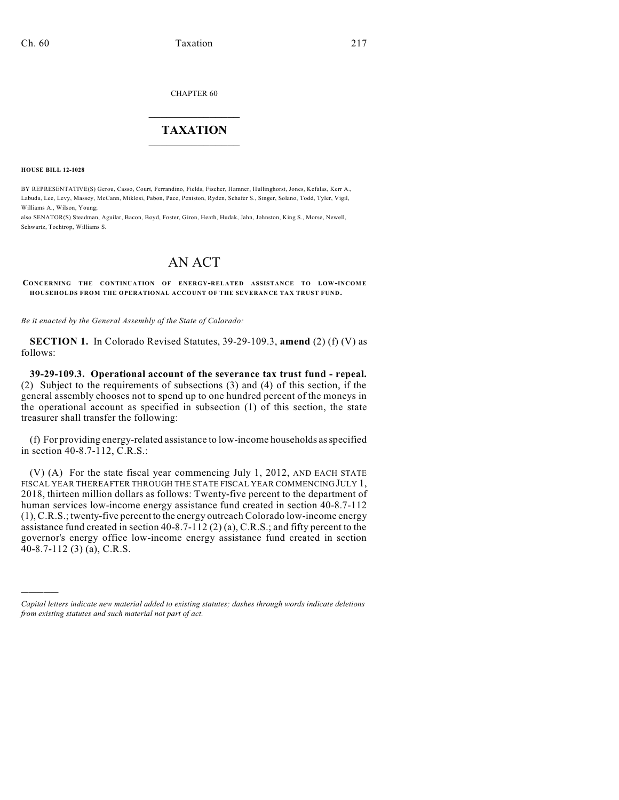CHAPTER 60

## $\overline{\phantom{a}}$  . The set of the set of the set of the set of the set of the set of the set of the set of the set of the set of the set of the set of the set of the set of the set of the set of the set of the set of the set o **TAXATION**  $\_$

**HOUSE BILL 12-1028**

)))))

BY REPRESENTATIVE(S) Gerou, Casso, Court, Ferrandino, Fields, Fischer, Hamner, Hullinghorst, Jones, Kefalas, Kerr A., Labuda, Lee, Levy, Massey, McCann, Miklosi, Pabon, Pace, Peniston, Ryden, Schafer S., Singer, Solano, Todd, Tyler, Vigil, Williams A., Wilson, Young;

also SENATOR(S) Steadman, Aguilar, Bacon, Boyd, Foster, Giron, Heath, Hudak, Jahn, Johnston, King S., Morse, Newell, Schwartz, Tochtrop, Williams S.

## AN ACT

**CONCERNING THE CONTINUATION OF ENERGY-RELATED ASSISTANCE TO LOW-INCOME HOUSEHOLDS FROM THE OPERATIONAL ACCOUNT OF THE SEVERANCE TAX TRUST FUND.**

*Be it enacted by the General Assembly of the State of Colorado:*

**SECTION 1.** In Colorado Revised Statutes, 39-29-109.3, **amend** (2) (f) (V) as follows:

**39-29-109.3. Operational account of the severance tax trust fund - repeal.** (2) Subject to the requirements of subsections (3) and (4) of this section, if the general assembly chooses not to spend up to one hundred percent of the moneys in the operational account as specified in subsection (1) of this section, the state treasurer shall transfer the following:

(f) For providing energy-related assistance to low-income households as specified in section 40-8.7-112, C.R.S.:

(V) (A) For the state fiscal year commencing July 1, 2012, AND EACH STATE FISCAL YEAR THEREAFTER THROUGH THE STATE FISCAL YEAR COMMENCING JULY 1, 2018, thirteen million dollars as follows: Twenty-five percent to the department of human services low-income energy assistance fund created in section 40-8.7-112 (1), C.R.S.; twenty-five percent to the energy outreach Colorado low-income energy assistance fund created in section 40-8.7-112 (2) (a), C.R.S.; and fifty percent to the governor's energy office low-income energy assistance fund created in section 40-8.7-112 (3) (a), C.R.S.

*Capital letters indicate new material added to existing statutes; dashes through words indicate deletions from existing statutes and such material not part of act.*